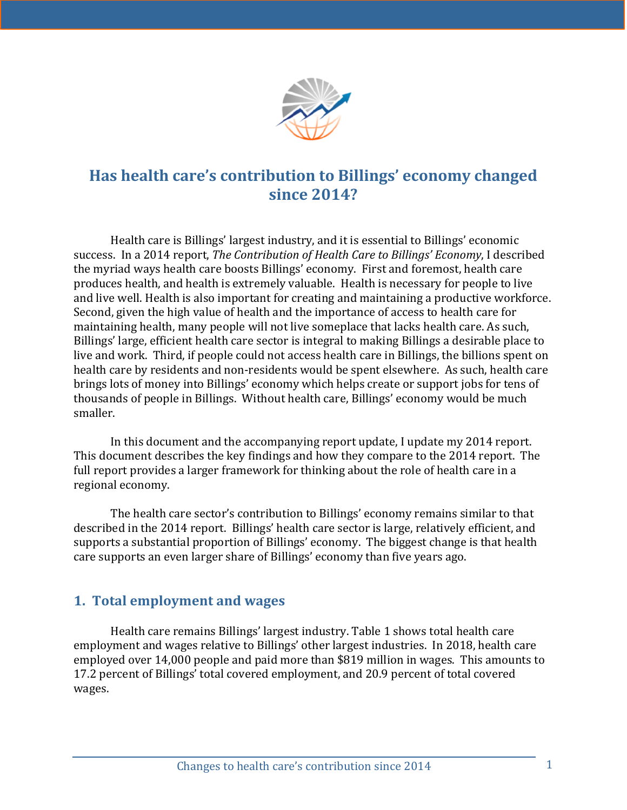

# Has health care's contribution to Billings' economy changed **since 2014?**

Health care is Billings' largest industry, and it is essential to Billings' economic success. In a 2014 report, *The Contribution of Health Care to Billings' Economy*, I described the myriad ways health care boosts Billings' economy. First and foremost, health care produces health, and health is extremely valuable. Health is necessary for people to live and live well. Health is also important for creating and maintaining a productive workforce. Second, given the high value of health and the importance of access to health care for maintaining health, many people will not live someplace that lacks health care. As such, Billings' large, efficient health care sector is integral to making Billings a desirable place to live and work. Third, if people could not access health care in Billings, the billions spent on health care by residents and non-residents would be spent elsewhere. As such, health care brings lots of money into Billings' economy which helps create or support jobs for tens of thousands of people in Billings. Without health care, Billings' economy would be much smaller. 

In this document and the accompanying report update, I update my 2014 report. This document describes the key findings and how they compare to the 2014 report. The full report provides a larger framework for thinking about the role of health care in a regional economy.

The health care sector's contribution to Billings' economy remains similar to that described in the 2014 report. Billings' health care sector is large, relatively efficient, and supports a substantial proportion of Billings' economy. The biggest change is that health care supports an even larger share of Billings' economy than five years ago.

# **1. Total employment and wages**

Health care remains Billings' largest industry. Table 1 shows total health care employment and wages relative to Billings' other largest industries. In 2018, health care employed over 14,000 people and paid more than \$819 million in wages. This amounts to 17.2 percent of Billings' total covered employment, and 20.9 percent of total covered wages.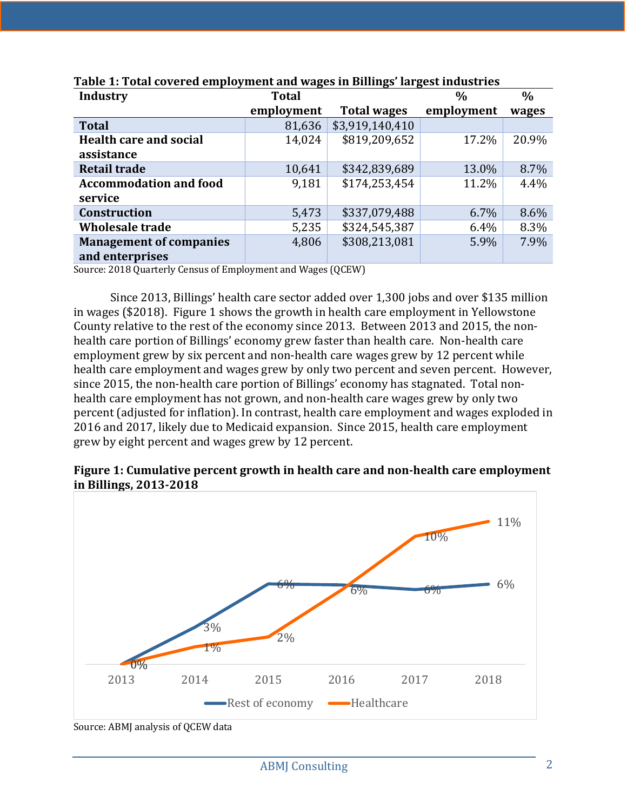| <b>Industry</b>                                   | <b>Total</b> |                    | $\frac{0}{0}$ | $\frac{0}{0}$ |
|---------------------------------------------------|--------------|--------------------|---------------|---------------|
|                                                   | employment   | <b>Total wages</b> | employment    | wages         |
| <b>Total</b>                                      | 81,636       | \$3,919,140,410    |               |               |
| <b>Health care and social</b><br>assistance       | 14,024       | \$819,209,652      | 17.2%         | 20.9%         |
| <b>Retail trade</b>                               | 10,641       | \$342,839,689      | 13.0%         | 8.7%          |
| <b>Accommodation and food</b><br>service          | 9,181        | \$174,253,454      | 11.2%         | 4.4%          |
| <b>Construction</b>                               | 5,473        | \$337,079,488      | 6.7%          | 8.6%          |
| <b>Wholesale trade</b>                            | 5,235        | \$324,545,387      | 6.4%          | 8.3%          |
| <b>Management of companies</b><br>and enterprises | 4,806        | \$308,213,081      | 5.9%          | 7.9%          |

#### **Table 1: Total covered employment and wages in Billings' largest industries**

Source: 2018 Quarterly Census of Employment and Wages (QCEW)

Since 2013, Billings' health care sector added over 1,300 jobs and over \$135 million in wages (\$2018). Figure 1 shows the growth in health care employment in Yellowstone County relative to the rest of the economy since 2013. Between 2013 and 2015, the nonhealth care portion of Billings' economy grew faster than health care. Non-health care employment grew by six percent and non-health care wages grew by 12 percent while health care employment and wages grew by only two percent and seven percent. However, since 2015, the non-health care portion of Billings' economy has stagnated. Total nonhealth care employment has not grown, and non-health care wages grew by only two percent (adjusted for inflation). In contrast, health care employment and wages exploded in 2016 and 2017, likely due to Medicaid expansion. Since 2015, health care employment grew by eight percent and wages grew by 12 percent.

#### **Figure 1: Cumulative percent growth in health care and non-health care employment in Billings, 2013-2018**



Source: ABMJ analysis of QCEW data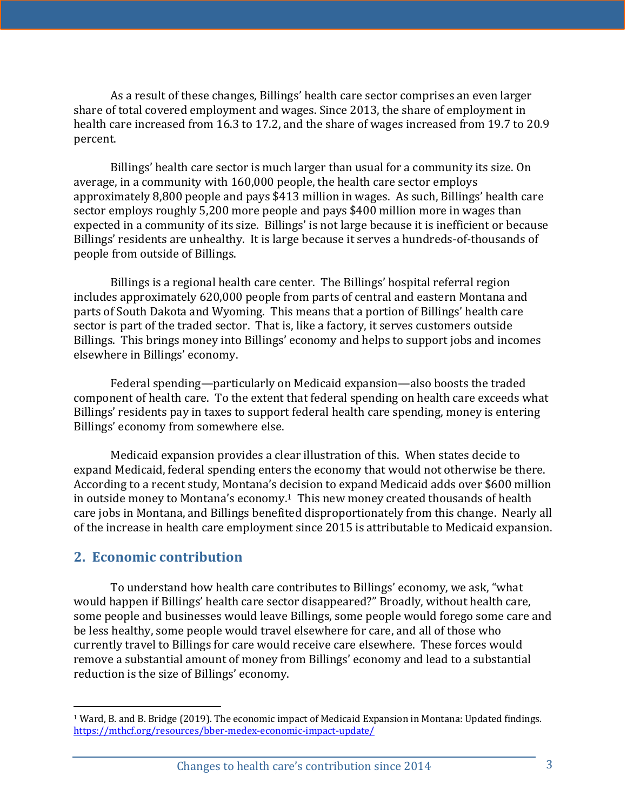As a result of these changes, Billings' health care sector comprises an even larger share of total covered employment and wages. Since 2013, the share of employment in health care increased from 16.3 to 17.2, and the share of wages increased from 19.7 to 20.9 percent. 

Billings' health care sector is much larger than usual for a community its size. On average, in a community with 160,000 people, the health care sector employs approximately 8,800 people and pays \$413 million in wages. As such, Billings' health care sector employs roughly 5,200 more people and pays \$400 million more in wages than expected in a community of its size. Billings' is not large because it is inefficient or because Billings' residents are unhealthy. It is large because it serves a hundreds-of-thousands of people from outside of Billings.

Billings is a regional health care center. The Billings' hospital referral region includes approximately 620,000 people from parts of central and eastern Montana and parts of South Dakota and Wyoming. This means that a portion of Billings' health care sector is part of the traded sector. That is, like a factory, it serves customers outside Billings. This brings money into Billings' economy and helps to support jobs and incomes elsewhere in Billings' economy.

Federal spending—particularly on Medicaid expansion—also boosts the traded component of health care. To the extent that federal spending on health care exceeds what Billings' residents pay in taxes to support federal health care spending, money is entering Billings' economy from somewhere else.

Medicaid expansion provides a clear illustration of this. When states decide to expand Medicaid, federal spending enters the economy that would not otherwise be there. According to a recent study, Montana's decision to expand Medicaid adds over \$600 million in outside money to Montana's economy.<sup>1</sup> This new money created thousands of health care jobs in Montana, and Billings benefited disproportionately from this change. Nearly all of the increase in health care employment since 2015 is attributable to Medicaid expansion.

#### **2. Economic contribution**

To understand how health care contributes to Billings' economy, we ask, "what would happen if Billings' health care sector disappeared?" Broadly, without health care, some people and businesses would leave Billings, some people would forego some care and be less healthy, some people would travel elsewhere for care, and all of those who currently travel to Billings for care would receive care elsewhere. These forces would remove a substantial amount of money from Billings' economy and lead to a substantial reduction is the size of Billings' economy.

 $1$  Ward, B. and B. Bridge (2019). The economic impact of Medicaid Expansion in Montana: Updated findings. https://mthcf.org/resources/bber-medex-economic-impact-update/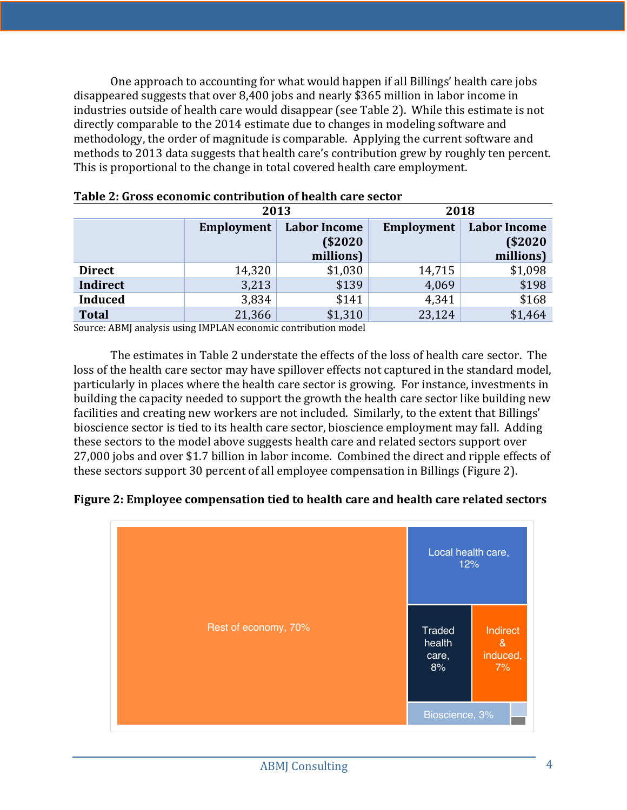One approach to accounting for what would happen if all Billings' health care jobs disappeared suggests that over 8,400 jobs and nearly \$365 million in labor income in industries outside of health care would disappear (see Table 2). While this estimate is not directly comparable to the 2014 estimate due to changes in modeling software and methodology, the order of magnitude is comparable. Applying the current software and methods to 2013 data suggests that health care's contribution grew by roughly ten percent. This is proportional to the change in total covered health care employment.

|                | 2013       |                     | 2018       |                     |
|----------------|------------|---------------------|------------|---------------------|
|                | Employment | <b>Labor Income</b> | Employment | <b>Labor Income</b> |
|                |            | \$2020              |            | (S2020)             |
|                |            | millions)           |            | millions)           |
| <b>Direct</b>  | 14,320     | \$1,030             | 14,715     | \$1,098             |
| Indirect       | 3,213      | \$139               | 4,069      | \$198               |
| <b>Induced</b> | 3,834      | \$141               | 4,341      | \$168               |
| <b>Total</b>   | 21,366     | \$1,310             | 23,124     | \$1,464             |

| Table 2: Gross economic contribution of health care sector |  |  |
|------------------------------------------------------------|--|--|
|                                                            |  |  |

Source: ABMJ analysis using IMPLAN economic contribution model

The estimates in Table 2 understate the effects of the loss of health care sector. The loss of the health care sector may have spillover effects not captured in the standard model, particularly in places where the health care sector is growing. For instance, investments in building the capacity needed to support the growth the health care sector like building new facilities and creating new workers are not included. Similarly, to the extent that Billings' bioscience sector is tied to its health care sector, bioscience employment may fall. Adding these sectors to the model above suggests health care and related sectors support over 27,000 jobs and over \$1.7 billion in labor income. Combined the direct and ripple effects of these sectors support 30 percent of all employee compensation in Billings (Figure 2).

#### **Figure 2: Employee compensation tied to health care and health care related sectors**

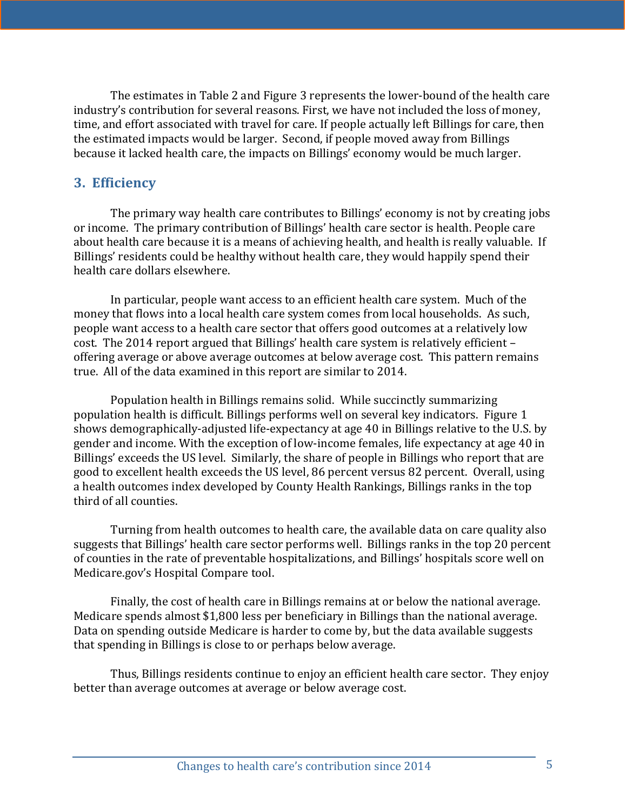The estimates in Table 2 and Figure 3 represents the lower-bound of the health care industry's contribution for several reasons. First, we have not included the loss of money, time, and effort associated with travel for care. If people actually left Billings for care, then the estimated impacts would be larger. Second, if people moved away from Billings because it lacked health care, the impacts on Billings' economy would be much larger.

### **3. Efficiency**

The primary way health care contributes to Billings' economy is not by creating jobs or income. The primary contribution of Billings' health care sector is health. People care about health care because it is a means of achieving health, and health is really valuable. If Billings' residents could be healthy without health care, they would happily spend their health care dollars elsewhere.

In particular, people want access to an efficient health care system. Much of the money that flows into a local health care system comes from local households. As such, people want access to a health care sector that offers good outcomes at a relatively low cost. The 2014 report argued that Billings' health care system is relatively efficient offering average or above average outcomes at below average cost. This pattern remains true. All of the data examined in this report are similar to 2014.

Population health in Billings remains solid. While succinctly summarizing population health is difficult. Billings performs well on several key indicators. Figure 1 shows demographically-adjusted life-expectancy at age 40 in Billings relative to the U.S. by gender and income. With the exception of low-income females, life expectancy at age 40 in Billings' exceeds the US level. Similarly, the share of people in Billings who report that are good to excellent health exceeds the US level, 86 percent versus 82 percent. Overall, using a health outcomes index developed by County Health Rankings, Billings ranks in the top third of all counties.

Turning from health outcomes to health care, the available data on care quality also suggests that Billings' health care sector performs well. Billings ranks in the top 20 percent of counties in the rate of preventable hospitalizations, and Billings' hospitals score well on Medicare.gov's Hospital Compare tool.

Finally, the cost of health care in Billings remains at or below the national average. Medicare spends almost  $$1,800$  less per beneficiary in Billings than the national average. Data on spending outside Medicare is harder to come by, but the data available suggests that spending in Billings is close to or perhaps below average.

Thus, Billings residents continue to enjoy an efficient health care sector. They enjoy better than average outcomes at average or below average cost.